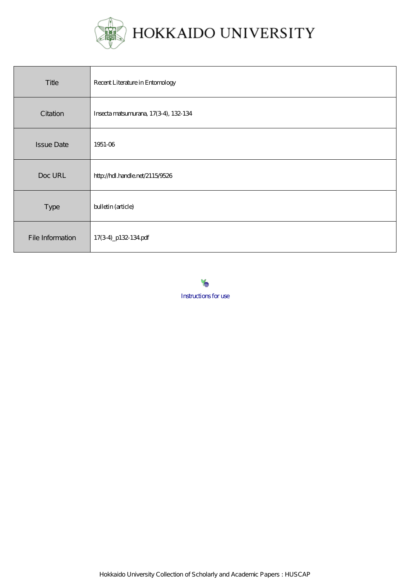

| Title             | Recent Literature in Entomology      |
|-------------------|--------------------------------------|
| Citation          | Insecta matsumurana, 17(34), 132-134 |
| <b>Issue Date</b> | 1951-06                              |
| Doc URL           | http://hdl.handle.net/21154526       |
| Type              | bulletin (article)                   |
| File Information  | 17(34)_p132-134pdf                   |



Hokkaido University Collection of Scholarly and Academic Papers : HUSCAP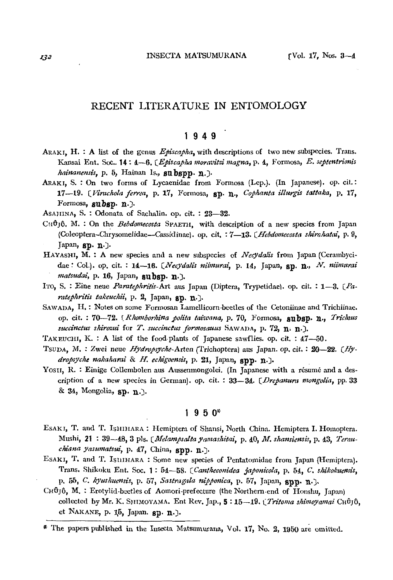## RECENT LITERATURE IN ENTOMOLOGY

## 1 9 4 9

- ARAKI, H. : A list of the genus *Episcapha*, with descriptions of two new subspecies. Trans. Kansai Ent. Soc.. 14: 4-6. *(Episcapha moravitzi magna*, p. 4, Formosa, *E. septentrionis hainanensis*, p. 5, Hainan Is., subspp. n.).
- ARAKI, S. : On two forms of Lycaenidae from Formosa (Lep.). (In Japanese). op. cit.: *17-19. (Virocltola lerna,* p. 17, Formosa, sp. n., *Copltanta iIlurgis tattaka,* p. 17, Formosa, subsp. n.).
- ASAHINA, S. : Odonata of Sachalin. op. cit. : 23-32.
- Cu<sub></sub>Ojô. M. : On the *Bebdomecosta* SPAETH, with description of a new species from Japan (Coleoptera-C1Irysomelidae-Cassidinae). op. cit. : 7-13. *(HeMolllecosta shirnltatai,* p.9, Japan, Sp. n.).
- HAYASHI, M. : A new species and a new subspecies of *Necydalis* from Japan (Cerambycidae: Col.). op. cit. : 14-16. [Necydalis niimurai, p. 14, Japan, sp. n., N. niimurai matsudai, p. 16, Japan, subsp. n.].
- ITO, S. : Eine neue *Paratephritis*-Art aus Japan (Diptera, Trypetidae). op. cit. : 1–3. *[Paratephritis takeuchii*, p. 2, Japan, gp. n.).
- SAWADA, H.: Notes on some Formosan Lamellicorn-beetles of the Cetoniinae and Trichiinae. op. cit. : 70-72. *{Rhomborhina polita taiwana, p. 70, Formosa, subsp. n., Trichus sucdnctus shirozui* for *T. succinctus formosauus* SAWADA, p. 72, n; n.].
- TAKEUCHI, K. : A list of the food-plants of Japanese sawflies. op. cit. : 47-50.
- TsupA, M. : Zwei neue *Hydropsyche-Arten* (Trichoptera) aus Japan. op. cit. : 20—22. *(Hydropsyche nakaharai & H. echigoensis*, p. 21, Japan, gpp. n.).
- VOSII, R. : Einige Collembolen aus Aussenmongolei. (In Japanese with a résumé and a description of a new species in German). op. cit. : 33-34.. *(Drepanura mongolia,* pp.33 & 34., Mongolia, Sp. n.].

## 1 950\*

- ESAKI, T. and T. ISHIHARA: Hemiptera of Shansi, North China. Hemiptera I. Homoptera. Mushi, 21:39-48, 3 pls. *(Melampsalta yamashitai, p. 40, M. shansiensis, p. 43, Terauchiana yasumatsui*, p. 47, China, spp. n.).
- ESAKJ, T. and T. ISHIHARA: Some new species of Pentatomidae from Japan (Hemiptera). Trans. Shikoku Ent. Soc. 1: 54-58. [Cantheconidea japonicola, p. 54, C. shikokuensis, p. 55, *C. kyusltucnsis,* p. 57, *Sastmgala nipponica,* p. 57, Japan, spp. n.].
- CHUJÔ, M. : Erotylid-beetles of Aomori-prefecture (the Northern-end of Honshu, Japan) collected by Mr. K. SHIMOYAMA. Ent Rev. Jap.,  $5:15-19$ . *(Tritoma shimoyamai* CHUjô, et NAKANE, p. 15, Japan. 8p. n.].

 $*$  The papers published in the Insecta Matsumurana, Vol. 17, No. 2, 1950 are omitted.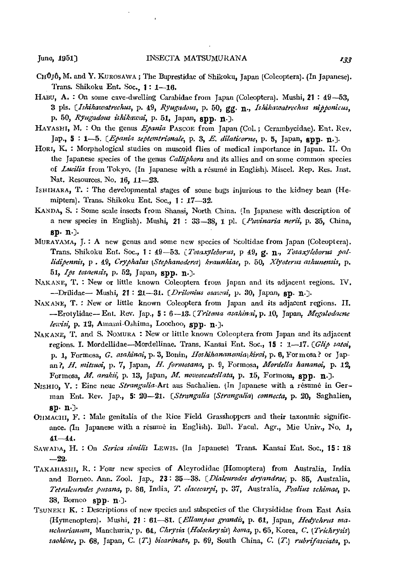- $CH<sup>0</sup>$ , M. and Y. KUROSAWA; The Buprestidae of Shikoku, Japan (Coleoptera). (In Japanese). Trans. Shikoku Ent. Soc., 1: 1-16.
- HABU, A. : On some cave-dwelling Carabidae from Japan (Coleoptera). Mushi, 21 : 49-53, 3 pls. [Ishikawatrechus, p. 49, *Ryugadous*, p. 50, gg. n., *Ishikawatrechus nipponicus*, p. 50, *Ryugadous ishikawai*, p. 51, Japan, spp. n.).
- HAYASHI, M. : On the genus *Epania* PASCOE from Japan (Col.; Cerambycidae). Ent. Rev. Jap., 5 : 1-5. *(Epania septemtrionale,* p. 3, *E. dilaticorne,* p. 5, Japan, Spp. n.].
- HORI, K. : Morphological studies on muscoid flies of medical importance in Japan. II. On the Japanese species of the genus *Calliphora* and its allies and on some common species of *Lucilia* from Tokyo. (In Japanese with a resume in English). Miscel. Rep. Res. Inst. Nat. Resources. No. 16, 11-23.
- ISHIHARA, T. : The developmental stages of some bugs injurious to the kidney bean (Hemiptera). Trans. Shikoku Ent. Soc., 1: 17-32.
- KANDA, S. : Some scale insects from Shansi, North China. (In Japanese with description of a new species in English). Mushi, 21 : 33-38, 1 pl. (Puvinaria nerii, p. 35, China, Sp· n·).
- MURAYAMA,  $\left[ . \right]$ : A new genus and some new species of Scoltidae from Japan (Coleoptera). Trans. Shikoku Enl. Soc., 1 : 49-53. *CTosaXJIlebortts,* p 49, g. n., *Tosaxyleborus pal- #dipennis,* p • 49, *Cryphalus lStephanoderes) kraunhiac,* p. 50, *Xlyoterus ashunmsis,* p. *51, Ips tosaensis,* p. 52, Japan, spp. n.).
- NAKANE, T. : New or little known Coleoptera from Japan and its adjacent regions. IV. --Drilidae- Mushi, 21: 21-31. *(Drilonius osawai*, p. 30, Japan, sp. n.).
- NAKANE, T. : New or little known Coleoptera from Japan and its adjacent regions. II. -Erotylidae- Ent. Rev. Jap., 5: 6-13. *(Tritollta asahincti,* p. 10, Japan, *Megalodacne*  lewisi, p. 12, Amami-Oshima, Loochoo, spp. n.].
- NAKANE, T. and S. NOMURA: New or little known Coleoptera from Japan and its adjacent regions. I. Mordellidae--Mordellinae. Trans. Kansai Ent. Soc., 15 : 1-17. *[Glip satoi*, p. 1, Formosa, *G. {!sallina;,* p. 3, Bonin, *Hoshilwnanomiall.irai,* p. 6, Formosa? or Japan?, *H. mitsuoi,* p. 7, Japan, *H. formosana,* p. 9, Formosa, *Mordella hananai,* p. 12, Formosa, *M. amkiz;* p. 13, Japan, *M. noveoscutellata,* p. 15, Formosa, Spp. n.).
- NISHIO, Y. : Eine neue Strangalia-Art aus Sachalien. (In Japanese with a résumé in German Ent. Hev. Jap., 5: 20-21. *(Strangalia (Strmtgalia) connecta,* p. 20, Saghalien,  $\text{sp. } n$ .
- OliMAClII, F. : Male genitalia of the Rice Field Grasshoppers and their taxonmic significance. (In Japanese with a résumé in English). Bull. Facul. Agr., Mie Univ., No. 1,  $41 - 44.$
- SAW AhA, H. : On *Serica simi/is* LEWIS. (In Japanese) Trans. Kansai Ent. Soc., 15: 18  $-22.$
- TAKAHASHI, R. : Four new species of Aleyrodidae (Homoptera) from Australia, India and IJorneo. Ann. Zool. Jap., 23: 35-38. *(Dialeurodes dryandrae;* p. 85, Australia, *Tetmleurodes PUS(l1t{1,* p. 86, India, T. *elacecarpi,* p. 37, Australia, *Pealius schimae,* p. 38, Dorneo Spp· n·)·
- TSUNEKI K. : Descriptions of new species and subspecies of the Chrysididae from East Asia (Hymenoptera). Mushi, 21 : 61-81. *(Ellampus grandis,* p. 61, Japan, *Hedyclwus manch"rianullt,* Manchuria; p. 64, *Chrysia (Holochrysis) koma,* p. 65, Korea, *C. (Trli:hrysis) saokime,* p. 68, Japan, C. (T.) *bicarinata,* p. 69, South Chi.na, *C.* (T.) *rubrijasciata,* p.